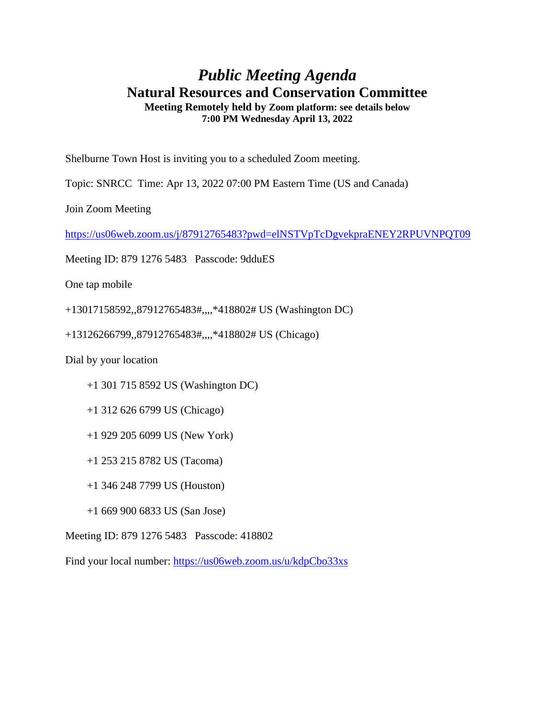## *Public Meeting Agenda* **Natural Resources and Conservation Committee Meeting Remotely held by Zoom platform: see details below 7:00 PM Wednesday April 13, 2022**

Shelburne Town Host is inviting you to a scheduled Zoom meeting.

Topic: SNRCC Time: Apr 13, 2022 07:00 PM Eastern Time (US and Canada)

Join Zoom Meeting

<https://us06web.zoom.us/j/87912765483?pwd=elNSTVpTcDgvekpraENEY2RPUVNPQT09>

Meeting ID: 879 1276 5483 Passcode: 9dduES

One tap mobile

+13017158592,,87912765483#,,,,\*418802# US (Washington DC)

+13126266799,,87912765483#,,,,\*418802# US (Chicago)

Dial by your location

+1 301 715 8592 US (Washington DC)

+1 312 626 6799 US (Chicago)

+1 929 205 6099 US (New York)

+1 253 215 8782 US (Tacoma)

+1 346 248 7799 US (Houston)

+1 669 900 6833 US (San Jose)

Meeting ID: 879 1276 5483 Passcode: 418802

Find your local number:<https://us06web.zoom.us/u/kdpCbo33xs>